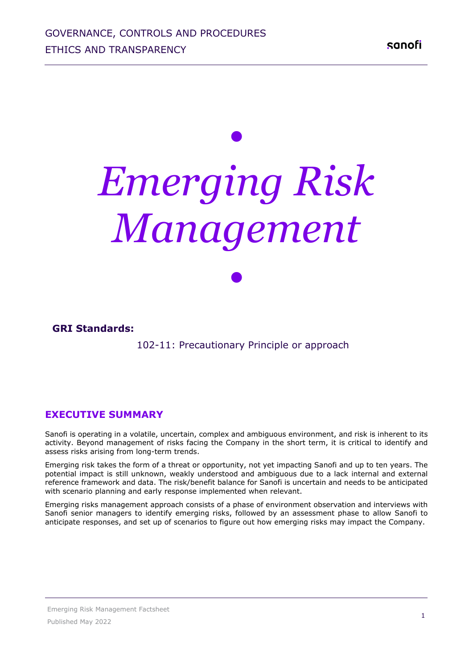# *• Emerging Risk Management*

*•*

**GRI Standards:**

102-11: Precautionary Principle or approach

**EXECUTIVE SUMMARY**

Sanofi is operating in a volatile, uncertain, complex and ambiguous environment, and risk is inherent to its activity. Beyond management of risks facing the Company in the short term, it is critical to identify and assess risks arising from long-term trends.

Emerging risk takes the form of a threat or opportunity, not yet impacting Sanofi and up to ten years. The potential impact is still unknown, weakly understood and ambiguous due to a lack internal and external reference framework and data. The risk/benefit balance for Sanofi is uncertain and needs to be anticipated with scenario planning and early response implemented when relevant.

Emerging risks management approach consists of a phase of environment observation and interviews with Sanofi senior managers to identify emerging risks, followed by an assessment phase to allow Sanofi to anticipate responses, and set up of scenarios to figure out how emerging risks may impact the Company.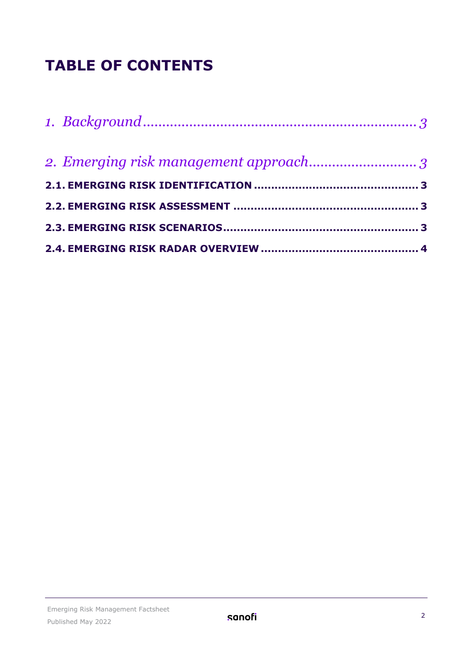# **TABLE OF CONTENTS**

| 2. Emerging risk management approach3 |  |
|---------------------------------------|--|
|                                       |  |
|                                       |  |
|                                       |  |
|                                       |  |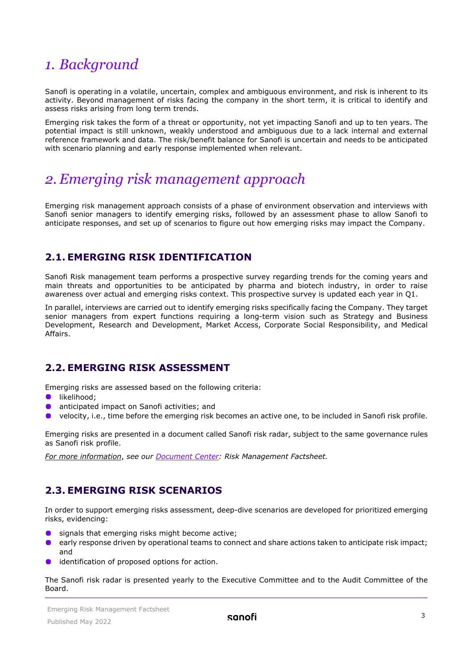# <span id="page-2-0"></span>*1. Background*

Sanofi is operating in a volatile, uncertain, complex and ambiguous environment, and risk is inherent to its activity. Beyond management of risks facing the company in the short term, it is critical to identify and assess risks arising from long term trends.

Emerging risk takes the form of a threat or opportunity, not yet impacting Sanofi and up to ten years. The potential impact is still unknown, weakly understood and ambiguous due to a lack internal and external reference framework and data. The risk/benefit balance for Sanofi is uncertain and needs to be anticipated with scenario planning and early response implemented when relevant.

# <span id="page-2-1"></span>*2. Emerging risk management approach*

Emerging risk management approach consists of a phase of environment observation and interviews with Sanofi senior managers to identify emerging risks, followed by an assessment phase to allow Sanofi to anticipate responses, and set up of scenarios to figure out how emerging risks may impact the Company.

## <span id="page-2-2"></span>**2.1. EMERGING RISK IDENTIFICATION**

Sanofi Risk management team performs a prospective survey regarding trends for the coming years and main threats and opportunities to be anticipated by pharma and biotech industry, in order to raise awareness over actual and emerging risks context. This prospective survey is updated each year in Q1.

In parallel, interviews are carried out to identify emerging risks specifically facing the Company. They target senior managers from expert functions requiring a long-term vision such as Strategy and Business Development, Research and Development, Market Access, Corporate Social Responsibility, and Medical Affairs.

### <span id="page-2-3"></span>**2.2. EMERGING RISK ASSESSMENT**

Emerging risks are assessed based on the following criteria:

- likelihood:
- anticipated impact on Sanofi activities; and
- velocity, i.e., time before the emerging risk becomes an active one, to be included in Sanofi risk profile.  $\bullet$

Emerging risks are presented in a document called Sanofi risk radar, subject to the same governance rules as Sanofi risk profile.

<span id="page-2-4"></span>*For more information*, *see our [Document Center:](https://www.sanofi.com/en/our-responsibility/documents-center/all-factsheets) Risk Management Factsheet.* 

## **2.3. EMERGING RISK SCENARIOS**

In order to support emerging risks assessment, deep-dive scenarios are developed for prioritized emerging risks, evidencing:

- signals that emerging risks might become active;
- $\bullet$ early response driven by operational teams to connect and share actions taken to anticipate risk impact; and
- identification of proposed options for action.

The Sanofi risk radar is presented yearly to the Executive Committee and to the Audit Committee of the Board.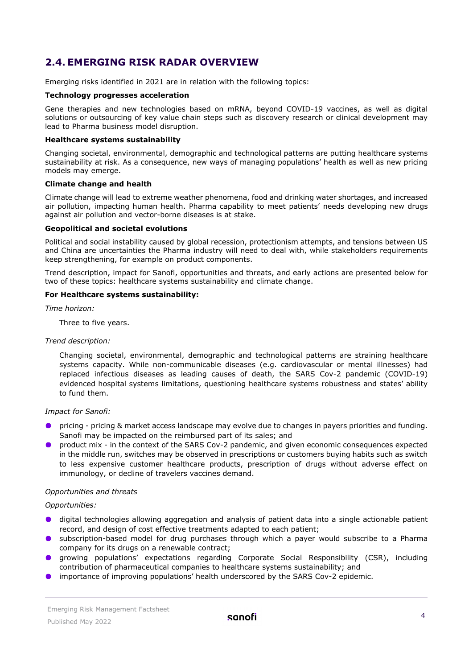## <span id="page-3-0"></span>**2.4. EMERGING RISK RADAR OVERVIEW**

Emerging risks identified in 2021 are in relation with the following topics:

#### **Technology progresses acceleration**

Gene therapies and new technologies based on mRNA, beyond COVID-19 vaccines, as well as digital solutions or outsourcing of key value chain steps such as discovery research or clinical development may lead to Pharma business model disruption.

#### **Healthcare systems sustainability**

Changing societal, environmental, demographic and technological patterns are putting healthcare systems sustainability at risk. As a consequence, new ways of managing populations' health as well as new pricing models may emerge.

#### **Climate change and health**

Climate change will lead to extreme weather phenomena, food and drinking water shortages, and increased air pollution, impacting human health. Pharma capability to meet patients' needs developing new drugs against air pollution and vector-borne diseases is at stake.

#### **Geopolitical and societal evolutions**

Political and social instability caused by global recession, protectionism attempts, and tensions between US and China are uncertainties the Pharma industry will need to deal with, while stakeholders requirements keep strengthening, for example on product components.

Trend description, impact for Sanofi, opportunities and threats, and early actions are presented below for two of these topics: healthcare systems sustainability and climate change.

#### **For Healthcare systems sustainability:**

*Time horizon:* 

Three to five years.

#### *Trend description:*

Changing societal, environmental, demographic and technological patterns are straining healthcare systems capacity. While non-communicable diseases (e.g. cardiovascular or mental illnesses) had replaced infectious diseases as leading causes of death, the SARS Cov-2 pandemic (COVID-19) evidenced hospital systems limitations, questioning healthcare systems robustness and states' ability to fund them.

#### *Impact for Sanofi:*

- pricing pricing & market access landscape may evolve due to changes in payers priorities and funding. Sanofi may be impacted on the reimbursed part of its sales; and
- product mix in the context of the SARS Cov-2 pandemic, and given economic consequences expected in the middle run, switches may be observed in prescriptions or customers buying habits such as switch to less expensive customer healthcare products, prescription of drugs without adverse effect on immunology, or decline of travelers vaccines demand.

#### *Opportunities and threats*

#### *Opportunities:*

- **O** digital technologies allowing aggregation and analysis of patient data into a single actionable patient record, and design of cost effective treatments adapted to each patient;
- **O** subscription-based model for drug purchases through which a payer would subscribe to a Pharma company for its drugs on a renewable contract;
- growing populations' expectations regarding Corporate Social Responsibility (CSR), including contribution of pharmaceutical companies to healthcare systems sustainability; and
- importance of improving populations' health underscored by the SARS Cov-2 epidemic.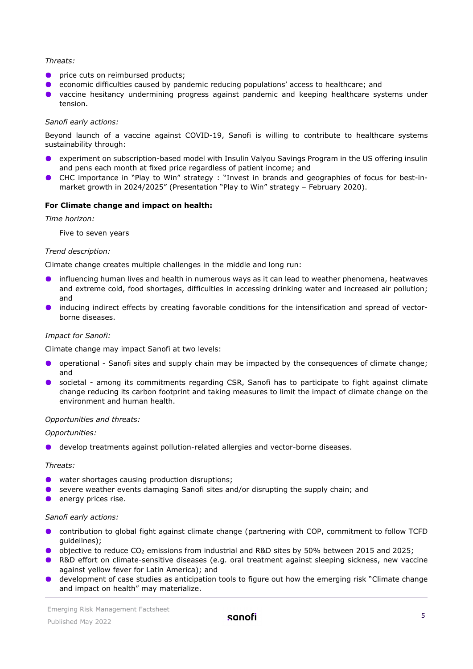#### *Threats:*

- $\bullet$ price cuts on reimbursed products;
- economic difficulties caused by pandemic reducing populations' access to healthcare; and  $\bullet$
- **•** vaccine hesitancy undermining progress against pandemic and keeping healthcare systems under tension.

#### *Sanofi early actions:*

Beyond launch of a vaccine against COVID-19, Sanofi is willing to contribute to healthcare systems sustainability through:

- experiment on subscription-based model with Insulin Valyou Savings Program in the US offering insulin and pens each month at fixed price regardless of patient income; and
- $\bullet$ CHC importance in "Play to Win" strategy : "Invest in brands and geographies of focus for best-inmarket growth in 2024/2025" (Presentation "Play to Win" strategy – February 2020).

#### **For Climate change and impact on health:**

*Time horizon:* 

Five to seven years

#### *Trend description:*

Climate change creates multiple challenges in the middle and long run:

- influencing human lives and health in numerous ways as it can lead to weather phenomena, heatwaves and extreme cold, food shortages, difficulties in accessing drinking water and increased air pollution; and
- inducing indirect effects by creating favorable conditions for the intensification and spread of vectorborne diseases.

#### *Impact for Sanofi:*

Climate change may impact Sanofi at two levels:

- operational Sanofi sites and supply chain may be impacted by the consequences of climate change; and
- societal among its commitments regarding CSR, Sanofi has to participate to fight against climate change reducing its carbon footprint and taking measures to limit the impact of climate change on the environment and human health.

#### *Opportunities and threats:*

*Opportunities:* 

develop treatments against pollution-related allergies and vector-borne diseases.

#### *Threats:*

- water shortages causing production disruptions;
- **•** severe weather events damaging Sanofi sites and/or disrupting the supply chain; and
- $\bullet$  energy prices rise.

#### *Sanofi early actions:*

- contribution to global fight against climate change (partnering with COP, commitment to follow TCFD guidelines);
- **o** objective to reduce CO<sub>2</sub> emissions from industrial and R&D sites by 50% between 2015 and 2025;
- R&D effort on climate-sensitive diseases (e.g. oral treatment against sleeping sickness, new vaccine against yellow fever for Latin America); and
- $\bullet$ development of case studies as anticipation tools to figure out how the emerging risk "Climate change and impact on health" may materialize.